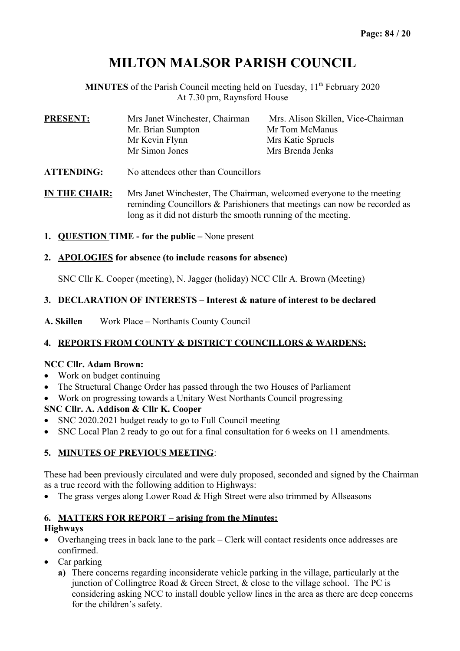# **MILTON MALSOR PARISH COUNCIL**

**MINUTES** of the Parish Council meeting held on Tuesday, 11<sup>th</sup> February 2020 At 7.30 pm, Raynsford House

| <b>PRESENT:</b>   | Mrs Janet Winchester, Chairman      | Mrs. Alison Skillen, Vice-Chairman |
|-------------------|-------------------------------------|------------------------------------|
|                   | Mr. Brian Sumpton                   | Mr Tom McManus                     |
|                   | Mr Kevin Flynn                      | Mrs Katie Spruels                  |
|                   | Mr Simon Jones                      | Mrs Brenda Jenks                   |
| <b>ATTENDING:</b> | No attendees other than Councillors |                                    |

**IN THE CHAIR:** Mrs Janet Winchester, The Chairman, welcomed everyone to the meeting reminding Councillors & Parishioners that meetings can now be recorded as long as it did not disturb the smooth running of the meeting.

**1. QUESTION TIME - for the public –** None present

#### **2. APOLOGIES for absence (to include reasons for absence)**

SNC Cllr K. Cooper (meeting), N. Jagger (holiday) NCC Cllr A. Brown (Meeting)

#### **3. DECLARATION OF INTERESTS – Interest & nature of interest to be declared**

**A. Skillen** Work Place – Northants County Council

# **4. REPORTS FROM COUNTY & DISTRICT COUNCILLORS & WARDENS:**

#### **NCC Cllr. Adam Brown:**

- Work on budget continuing
- The Structural Change Order has passed through the two Houses of Parliament
- Work on progressing towards a Unitary West Northants Council progressing

# **SNC Cllr. A. Addison & Cllr K. Cooper**

- SNC 2020.2021 budget ready to go to Full Council meeting
- SNC Local Plan 2 ready to go out for a final consultation for 6 weeks on 11 amendments.

# **5. MINUTES OF PREVIOUS MEETING**:

These had been previously circulated and were duly proposed, seconded and signed by the Chairman as a true record with the following addition to Highways:

• The grass verges along Lower Road & High Street were also trimmed by Allseasons

#### **6. MATTERS FOR REPORT – arising from the Minutes:**

#### **Highways**

- Overhanging trees in back lane to the park Clerk will contact residents once addresses are confirmed.
- Car parking
	- **a)** There concerns regarding inconsiderate vehicle parking in the village, particularly at the junction of Collingtree Road & Green Street, & close to the village school. The PC is considering asking NCC to install double yellow lines in the area as there are deep concerns for the children's safety.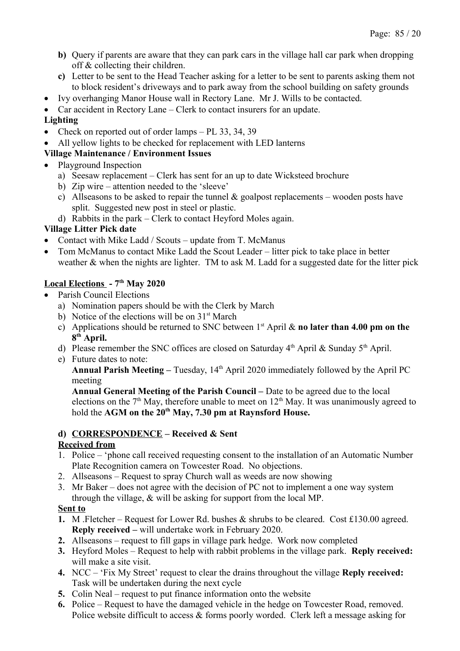- **b)** Query if parents are aware that they can park cars in the village hall car park when dropping off & collecting their children.
- **c)** Letter to be sent to the Head Teacher asking for a letter to be sent to parents asking them not to block resident's driveways and to park away from the school building on safety grounds
- Ivy overhanging Manor House wall in Rectory Lane. Mr J. Wills to be contacted.
- Car accident in Rectory Lane Clerk to contact insurers for an update.

# **Lighting**

- Check on reported out of order lamps PL 33, 34, 39
- All yellow lights to be checked for replacement with LED lanterns

# **Village Maintenance / Environment Issues**

- Playground Inspection
	- a) Seesaw replacement Clerk has sent for an up to date Wicksteed brochure
	- b) Zip wire attention needed to the 'sleeve'
	- c) Allseasons to be asked to repair the tunnel  $\&$  goalpost replacements wooden posts have split. Suggested new post in steel or plastic.
	- d) Rabbits in the park Clerk to contact Heyford Moles again.

# **Village Litter Pick date**

- Contact with Mike Ladd / Scouts update from T. McManus
- Tom McManus to contact Mike Ladd the Scout Leader litter pick to take place in better weather & when the nights are lighter. TM to ask M. Ladd for a suggested date for the litter pick

# **Local Elections - 7th May 2020**

- Parish Council Elections
	- a) Nomination papers should be with the Clerk by March
	- b) Notice of the elections will be on  $31<sup>st</sup>$  March
	- c) Applications should be returned to SNC between 1st April & **no later than 4.00 pm on the 8 th April.**
	- d) Please remember the SNC offices are closed on Saturday  $4<sup>th</sup>$  April & Sunday  $5<sup>th</sup>$  April.
	- e) Future dates to note:

Annual Parish Meeting – Tuesday, 14<sup>th</sup> April 2020 immediately followed by the April PC meeting

**Annual General Meeting of the Parish Council –** Date to be agreed due to the local elections on the  $7<sup>th</sup>$  May, therefore unable to meet on  $12<sup>th</sup>$  May. It was unanimously agreed to hold the **AGM on the 20th May, 7.30 pm at Raynsford House.**

# **d) CORRESPONDENCE – Received & Sent**

# **Received from**

- 1. Police 'phone call received requesting consent to the installation of an Automatic Number Plate Recognition camera on Towcester Road. No objections.
- 2. Allseasons Request to spray Church wall as weeds are now showing
- 3. Mr Baker does not agree with the decision of PC not to implement a one way system through the village, & will be asking for support from the local MP.

#### **Sent to**

- **1.** M .Fletcher Request for Lower Rd. bushes & shrubs to be cleared. Cost £130.00 agreed. **Reply received –** will undertake work in February 2020.
- **2.** Allseasons request to fill gaps in village park hedge. Work now completed
- **3.** Heyford Moles Request to help with rabbit problems in the village park. **Reply received:**  will make a site visit.
- **4.** NCC 'Fix My Street' request to clear the drains throughout the village **Reply received:**  Task will be undertaken during the next cycle
- **5.** Colin Neal request to put finance information onto the website
- **6.** Police Request to have the damaged vehicle in the hedge on Towcester Road, removed. Police website difficult to access & forms poorly worded. Clerk left a message asking for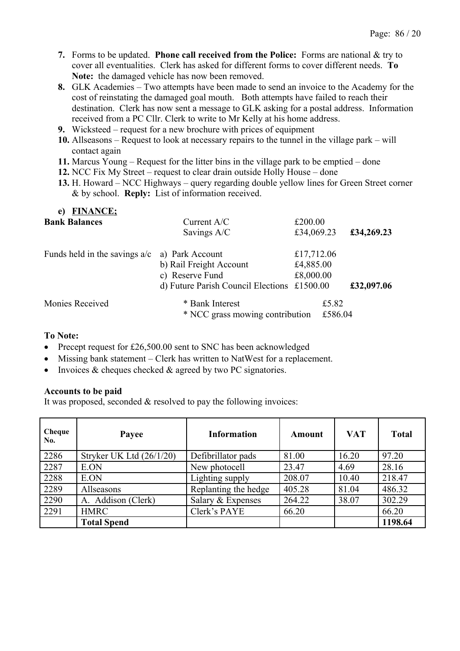- **7.** Forms to be updated. **Phone call received from the Police:** Forms are national & try to cover all eventualities. Clerk has asked for different forms to cover different needs. **To Note:** the damaged vehicle has now been removed.
- **8.** GLK Academies Two attempts have been made to send an invoice to the Academy for the cost of reinstating the damaged goal mouth. Both attempts have failed to reach their destination. Clerk has now sent a message to GLK asking for a postal address. Information received from a PC Cllr. Clerk to write to Mr Kelly at his home address.
- **9.** Wicksteed request for a new brochure with prices of equipment
- **10.** Allseasons Request to look at necessary repairs to the tunnel in the village park will contact again
- **11.** Marcus Young Request for the litter bins in the village park to be emptied done
- **12.** NCC Fix My Street request to clear drain outside Holly House done
- **13.** H. Howard NCC Highways query regarding double yellow lines for Green Street corner & by school. **Reply:** List of information received.

| <b>FINANCE;</b><br>e)           |                                                    |            |                  |            |
|---------------------------------|----------------------------------------------------|------------|------------------|------------|
| <b>Bank Balances</b>            | Current $A/C$                                      |            | £200.00          |            |
|                                 | Savings A/C                                        | £34,069.23 |                  | £34,269.23 |
| Funds held in the savings $a/c$ | a) Park Account                                    | £17,712.06 |                  |            |
|                                 | b) Rail Freight Account                            | £4,885.00  |                  |            |
|                                 | c) Reserve Fund                                    |            | £8,000.00        |            |
|                                 | d) Future Parish Council Elections £1500.00        |            |                  | £32,097.06 |
| Monies Received                 | * Bank Interest<br>* NCC grass mowing contribution |            | £5.82<br>£586.04 |            |

#### **To Note:**

- Precept request for £26,500.00 sent to SNC has been acknowledged
- Missing bank statement Clerk has written to NatWest for a replacement.
- Invoices  $&$  cheques checked  $&$  agreed by two PC signatories.

#### **Accounts to be paid**

It was proposed, seconded & resolved to pay the following invoices:

| Cheque<br>No. | Payee                      | <b>Information</b>   | Amount | <b>VAT</b> | <b>Total</b> |
|---------------|----------------------------|----------------------|--------|------------|--------------|
| 2286          | Stryker UK Ltd $(26/1/20)$ | Defibrillator pads   | 81.00  | 16.20      | 97.20        |
| 2287          | E.ON                       | New photocell        | 23.47  | 4.69       | 28.16        |
| 2288          | E.ON                       | Lighting supply      | 208.07 | 10.40      | 218.47       |
| 2289          | Allseasons                 | Replanting the hedge | 405.28 | 81.04      | 486.32       |
| 2290          | A. Addison (Clerk)         | Salary & Expenses    | 264.22 | 38.07      | 302.29       |
| 2291          | <b>HMRC</b>                | Clerk's PAYE         | 66.20  |            | 66.20        |
|               | <b>Total Spend</b>         |                      |        |            | 1198.64      |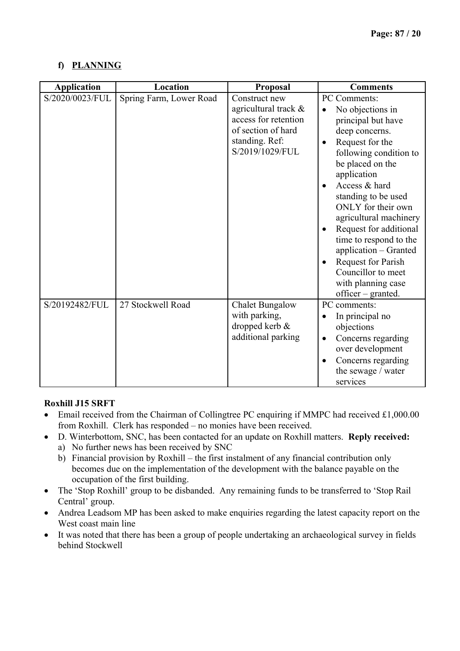# **f) PLANNING**

| <b>Application</b> | Location                | Proposal                                                                                                                 | <b>Comments</b>                                                                                                                                                                                                                                                                                                                                                                                                       |
|--------------------|-------------------------|--------------------------------------------------------------------------------------------------------------------------|-----------------------------------------------------------------------------------------------------------------------------------------------------------------------------------------------------------------------------------------------------------------------------------------------------------------------------------------------------------------------------------------------------------------------|
| S/2020/0023/FUL    | Spring Farm, Lower Road | Construct new<br>agricultural track &<br>access for retention<br>of section of hard<br>standing. Ref:<br>S/2019/1029/FUL | PC Comments:<br>No objections in<br>principal but have<br>deep concerns.<br>Request for the<br>following condition to<br>be placed on the<br>application<br>Access & hard<br>standing to be used<br>ONLY for their own<br>agricultural machinery<br>Request for additional<br>time to respond to the<br>application - Granted<br>Request for Parish<br>Councillor to meet<br>with planning case<br>officer – granted. |
| S/20192482/FUL     | 27 Stockwell Road       | <b>Chalet Bungalow</b><br>with parking,<br>dropped kerb &<br>additional parking                                          | PC comments:<br>In principal no<br>objections<br>Concerns regarding<br>over development<br>Concerns regarding<br>$\bullet$<br>the sewage / water<br>services                                                                                                                                                                                                                                                          |

# **Roxhill J15 SRFT**

- Email received from the Chairman of Collingtree PC enquiring if MMPC had received £1,000.00 from Roxhill. Clerk has responded – no monies have been received.
- D. Winterbottom, SNC, has been contacted for an update on Roxhill matters. **Reply received:**
	- a) No further news has been received by SNC
	- b) Financial provision by Roxhill the first instalment of any financial contribution only becomes due on the implementation of the development with the balance payable on the occupation of the first building.
- The 'Stop Roxhill' group to be disbanded. Any remaining funds to be transferred to 'Stop Rail Central' group.
- Andrea Leadsom MP has been asked to make enquiries regarding the latest capacity report on the West coast main line
- It was noted that there has been a group of people undertaking an archaeological survey in fields behind Stockwell